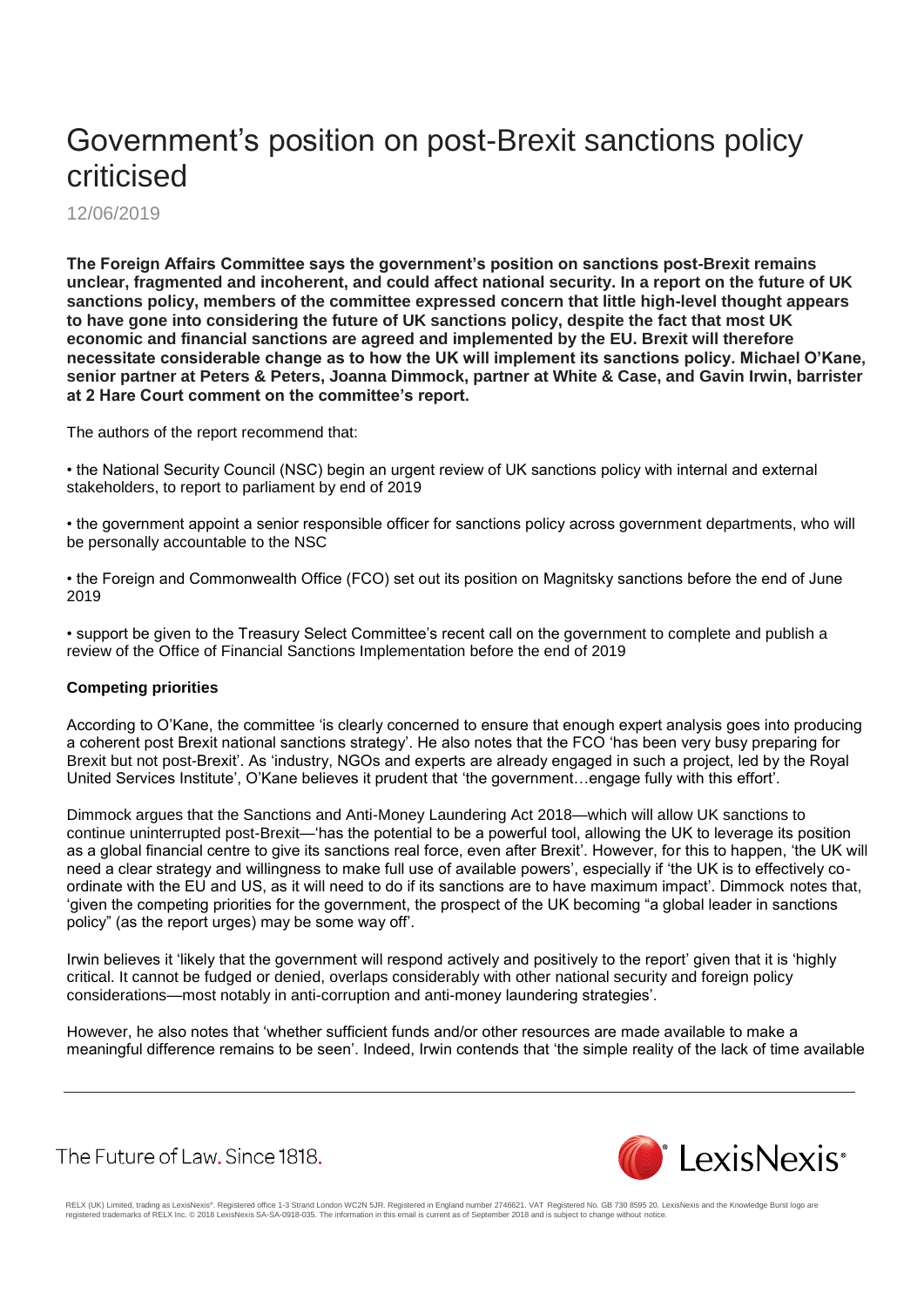## Government's position on post-Brexit sanctions policy criticised

12/06/2019

**The Foreign Affairs Committee says the government's position on sanctions post-Brexit remains unclear, fragmented and incoherent, and could affect national security. In a report on the future of UK sanctions policy, members of the committee expressed concern that little high-level thought appears to have gone into considering the future of UK sanctions policy, despite the fact that most UK economic and financial sanctions are agreed and implemented by the EU. Brexit will therefore necessitate considerable change as to how the UK will implement its sanctions policy. Michael O'Kane, senior partner at Peters & Peters, Joanna Dimmock, partner at White & Case, and Gavin Irwin, barrister at 2 Hare Court comment on the committee's report.**

The authors of the report recommend that:

• the National Security Council (NSC) begin an urgent review of UK sanctions policy with internal and external stakeholders, to report to parliament by end of 2019

• the government appoint a senior responsible officer for sanctions policy across government departments, who will be personally accountable to the NSC

• the Foreign and Commonwealth Office (FCO) set out its position on Magnitsky sanctions before the end of June 2019

• support be given to the Treasury Select Committee's recent call on the government to complete and publish a review of the Office of Financial Sanctions Implementation before the end of 2019

## **Competing priorities**

According to O'Kane, the committee 'is clearly concerned to ensure that enough expert analysis goes into producing a coherent post Brexit national sanctions strategy'. He also notes that the FCO 'has been very busy preparing for Brexit but not post-Brexit'. As 'industry, NGOs and experts are already engaged in such a project, led by the Royal United Services Institute', O'Kane believes it prudent that 'the government…engage fully with this effort'.

Dimmock argues that the Sanctions and Anti-Money Laundering Act 2018—which will allow UK sanctions to continue uninterrupted post-Brexit—'has the potential to be a powerful tool, allowing the UK to leverage its position as a global financial centre to give its sanctions real force, even after Brexit'. However, for this to happen, 'the UK will need a clear strategy and willingness to make full use of available powers', especially if 'the UK is to effectively coordinate with the EU and US, as it will need to do if its sanctions are to have maximum impact'. Dimmock notes that, 'given the competing priorities for the government, the prospect of the UK becoming "a global leader in sanctions policy" (as the report urges) may be some way off'.

Irwin believes it 'likely that the government will respond actively and positively to the report' given that it is 'highly critical. It cannot be fudged or denied, overlaps considerably with other national security and foreign policy considerations—most notably in anti-corruption and anti-money laundering strategies'.

However, he also notes that 'whether sufficient funds and/or other resources are made available to make a meaningful difference remains to be seen'. Indeed, Irwin contends that 'the simple reality of the lack of time available

The Future of Law, Since 1818.



RELX (UK) Limited, trading as LexisNexis®. Registered office 1-3 Strand London WC2N 5JR. Registered in England number 2746621. VAT Registered No. GB 730 8595 20. LexisNexis and the Knowledge Burst logo are<br>registered trade